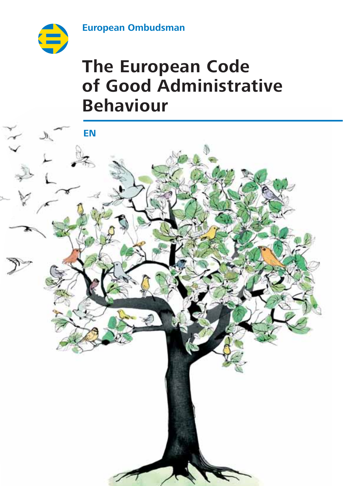**European Ombudsman**



# **The European Code of Good Administrative Behaviour**

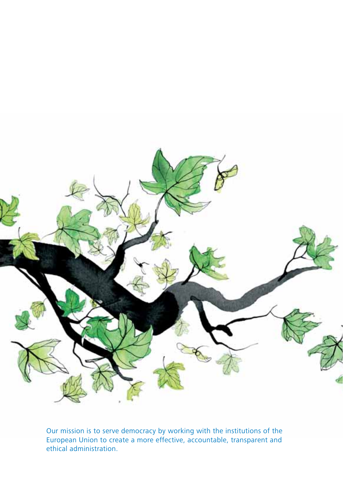

Our mission is to serve democracy by working with the institutions of the European Union to create a more effective, accountable, transparent and ethical administration.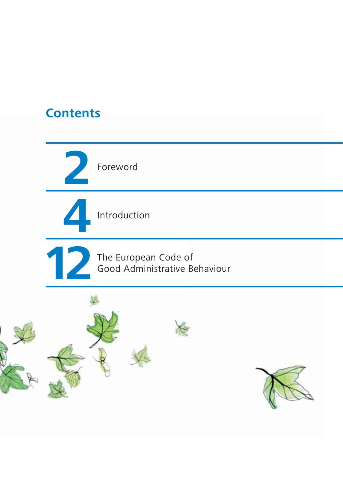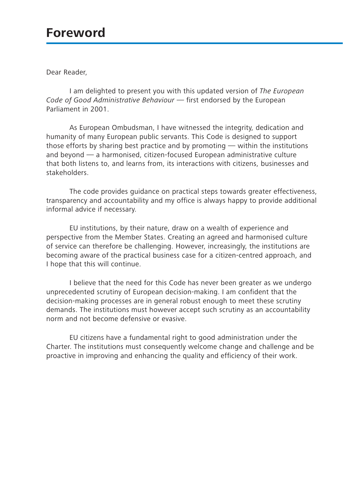# **Foreword**

Dear Reader,

I am delighted to present you with this updated version of *The European Code of Good Administrative Behaviour* — first endorsed by the European Parliament in 2001.

As European Ombudsman, I have witnessed the integrity, dedication and humanity of many European public servants. This Code is designed to support those efforts by sharing best practice and by promoting — within the institutions and beyond — a harmonised, citizen-focused European administrative culture that both listens to, and learns from, its interactions with citizens, businesses and stakeholders.

The code provides guidance on practical steps towards greater effectiveness, transparency and accountability and my office is always happy to provide additional informal advice if necessary.

EU institutions, by their nature, draw on a wealth of experience and perspective from the Member States. Creating an agreed and harmonised culture of service can therefore be challenging. However, increasingly, the institutions are becoming aware of the practical business case for a citizen-centred approach, and I hope that this will continue.

I believe that the need for this Code has never been greater as we undergo unprecedented scrutiny of European decision-making. I am confident that the decision-making processes are in general robust enough to meet these scrutiny demands. The institutions must however accept such scrutiny as an accountability norm and not become defensive or evasive.

EU citizens have a fundamental right to good administration under the Charter. The institutions must consequently welcome change and challenge and be proactive in improving and enhancing the quality and efficiency of their work.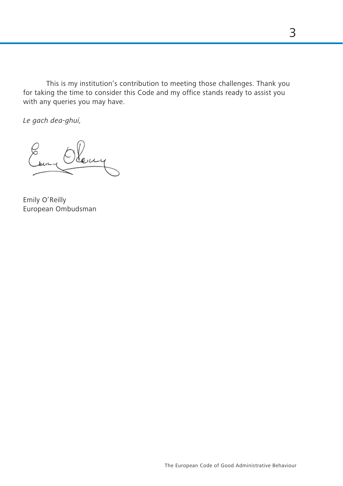This is my institution's contribution to meeting those challenges. Thank you for taking the time to consider this Code and my office stands ready to assist you with any queries you may have.

*Le gach dea-ghuí,*

Emily O'Reilly European Ombudsman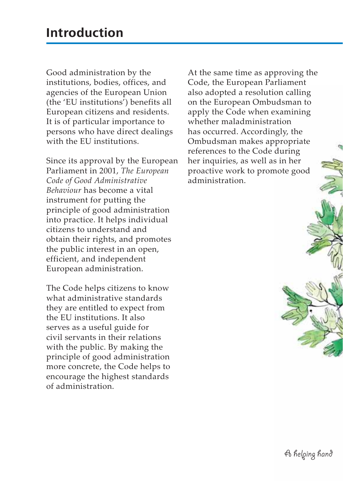Good administration by the institutions, bodies, offices, and agencies of the European Union (the 'EU institutions') benefits all European citizens and residents. It is of particular importance to persons who have direct dealings with the EU institutions.

Since its approval by the European Parliament in 2001, *The European Code of Good Administrative Behaviour* has become a vital instrument for putting the principle of good administration into practice. It helps individual citizens to understand and obtain their rights, and promotes the public interest in an open, efficient, and independent European administration.

The Code helps citizens to know what administrative standards they are entitled to expect from the EU institutions. It also serves as a useful guide for civil servants in their relations with the public. By making the principle of good administration more concrete, the Code helps to encourage the highest standards of administration.

At the same time as approving the Code, the European Parliament also adopted a resolution calling on the European Ombudsman to apply the Code when examining whether maladministration has occurred. Accordingly, the Ombudsman makes appropriate references to the Code during her inquiries, as well as in her proactive work to promote good administration.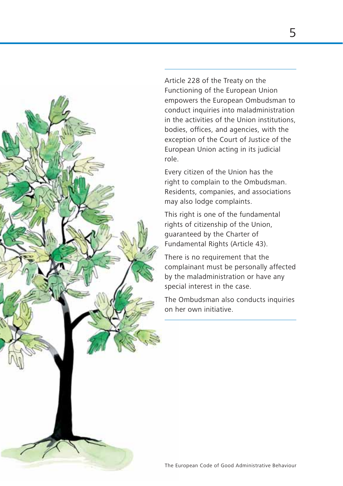

Article 228 of the Treaty on the Functioning of the European Union empowers the European Ombudsman to conduct inquiries into maladministration in the activities of the Union institutions, bodies, offices, and agencies, with the exception of the Court of Justice of the European Union acting in its judicial role.

Every citizen of the Union has the right to complain to the Ombudsman. Residents, companies, and associations may also lodge complaints.

This right is one of the fundamental rights of citizenship of the Union, guaranteed by the Charter of Fundamental Rights (Article 43).

There is no requirement that the complainant must be personally affected by the maladministration or have any special interest in the case.

The Ombudsman also conducts inquiries on her own initiative.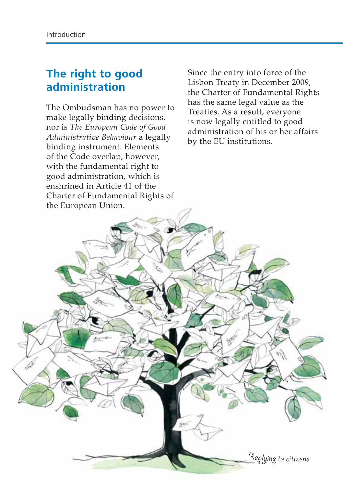#### **The right to good administration**

The Ombudsman has no power to make legally binding decisions, nor is *The European Code of Good Administrative Behaviour* a legally binding instrument. Elements of the Code overlap, however, with the fundamental right to good administration, which is enshrined in Article 41 of the Charter of Fundamental Rights of

Since the entry into force of the Lisbon Treaty in December 2009, the Charter of Fundamental Rights has the same legal value as the Treaties. As a result, everyone is now legally entitled to good administration of his or her affairs by the EU institutions.

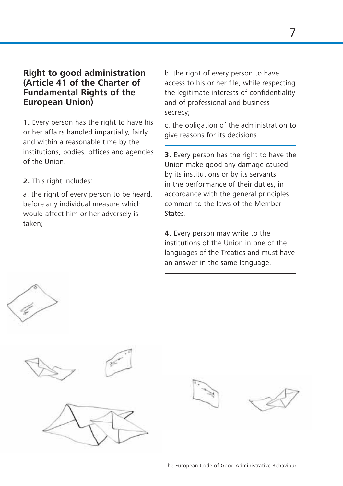#### **Right to good administration (Article 41 of the Charter of Fundamental Rights of the European Union)**

**1.** Every person has the right to have his or her affairs handled impartially, fairly and within a reasonable time by the institutions, bodies, offices and agencies of the Union.

**2.** This right includes:

a. the right of every person to be heard. before any individual measure which would affect him or her adversely is taken;

b. the right of every person to have access to his or her file, while respecting the legitimate interests of confidentiality and of professional and business secrecy;

c. the obligation of the administration to give reasons for its decisions.

**3.** Every person has the right to have the Union make good any damage caused by its institutions or by its servants in the performance of their duties, in accordance with the general principles common to the laws of the Member States.

**4.** Every person may write to the institutions of the Union in one of the languages of the Treaties and must have an answer in the same language.







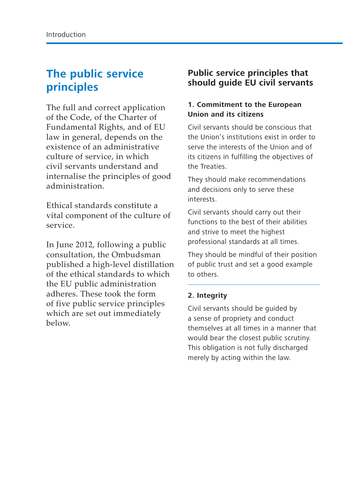### **The public service principles**

The full and correct application of the Code, of the Charter of Fundamental Rights, and of EU law in general, depends on the existence of an administrative culture of service, in which civil servants understand and internalise the principles of good administration.

Ethical standards constitute a vital component of the culture of service.

In June 2012, following a public consultation, the Ombudsman published a high-level distillation of the ethical standards to which the EU public administration adheres. These took the form of five public service principles which are set out immediately below.

#### **Public service principles that should guide EU civil servants**

#### **1. Commitment to the European Union and its citizens**

Civil servants should be conscious that the Union's institutions exist in order to serve the interests of the Union and of its citizens in fulfilling the objectives of the Treaties.

They should make recommendations and decisions only to serve these interests.

Civil servants should carry out their functions to the best of their abilities and strive to meet the highest professional standards at all times.

They should be mindful of their position of public trust and set a good example to others.

#### **2. Integrity**

Civil servants should be guided by a sense of propriety and conduct themselves at all times in a manner that would bear the closest public scrutiny. This obligation is not fully discharged merely by acting within the law.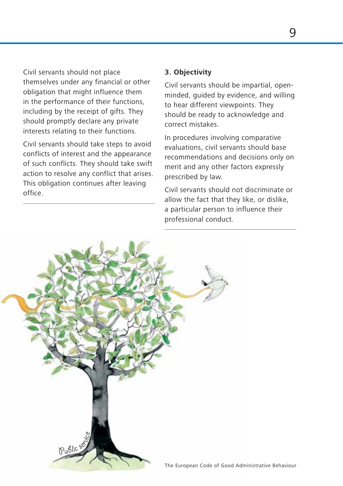Civil servants should not place themselves under any financial or other obligation that might influence them in the performance of their functions, including by the receipt of gifts. They should promptly declare any private interests relating to their functions.

Civil servants should take steps to avoid conflicts of interest and the appearance of such conflicts. They should take swift action to resolve any conflict that arises. This obligation continues after leaving office.

#### **3. Objectivity**

Civil servants should be impartial, openminded, guided by evidence, and willing to hear different viewpoints. They should be ready to acknowledge and correct mistakes.

In procedures involving comparative evaluations, civil servants should base recommendations and decisions only on merit and any other factors expressly prescribed by law.

Civil servants should not discriminate or allow the fact that they like, or dislike, a particular person to influence their professional conduct.

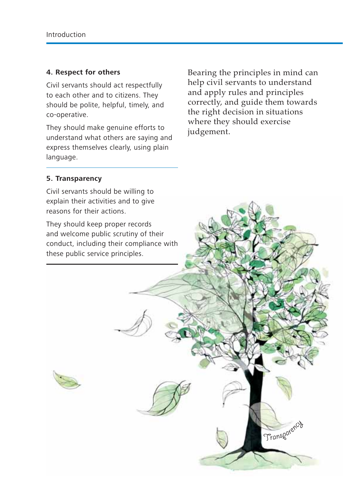#### **4. Respect for others**

Civil servants should act respectfully to each other and to citizens. They should be polite, helpful, timely, and co-operative.

They should make genuine efforts to understand what others are saying and express themselves clearly, using plain language.

Bearing the principles in mind can help civil servants to understand and apply rules and principles correctly, and guide them towards the right decision in situations where they should exercise judgement.

Transparency

#### **5. Transparency**

Civil servants should be willing to explain their activities and to give reasons for their actions.

They should keep proper records and welcome public scrutiny of their conduct, including their compliance with these public service principles.

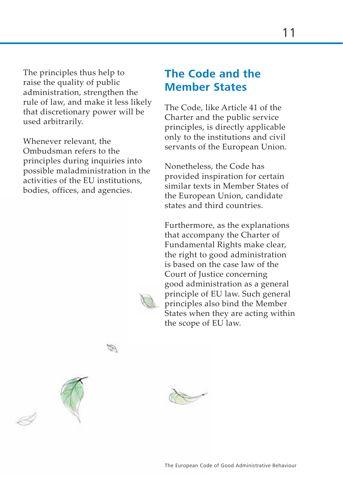The principles thus help to raise the quality of public administration, strengthen the rule of law, and make it less likely that discretionary power will be used arbitrarily.

Whenever relevant, the Ombudsman refers to the principles during inquiries into possible maladministration in the activities of the EU institutions, bodies, offices, and agencies.

#### **The Code and the Member States**

The Code, like Article 41 of the Charter and the public service principles, is directly applicable only to the institutions and civil servants of the European Union.

Nonetheless, the Code has provided inspiration for certain similar texts in Member States of the European Union, candidate states and third countries.

Furthermore, as the explanations that accompany the Charter of Fundamental Rights make clear, the right to good administration is based on the case law of the Court of Justice concerning good administration as a general principle of EU law. Such general principles also bind the Member States when they are acting within the scope of EU law.

FD.

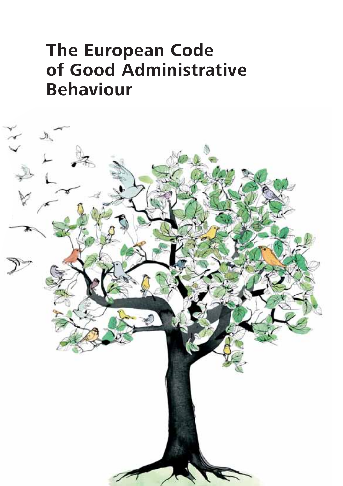# **The European Code of Good Administrative Behaviour**

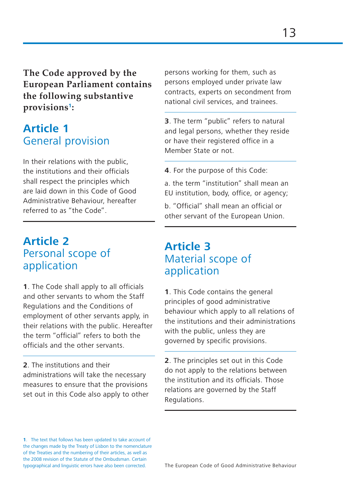**The Code approved by the European Parliament contains the following substantive provisions<sup>1</sup>:**

#### **Article 1** General provision

In their relations with the public, the institutions and their officials shall respect the principles which are laid down in this Code of Good Administrative Behaviour, hereafter referred to as "the Code".

#### **Article 2** Personal scope of application

**1**. The Code shall apply to all officials and other servants to whom the Staff Regulations and the Conditions of employment of other servants apply, in their relations with the public. Hereafter the term "official" refers to both the officials and the other servants.

**2**. The institutions and their administrations will take the necessary measures to ensure that the provisions set out in this Code also apply to other persons working for them, such as persons employed under private law contracts, experts on secondment from national civil services, and trainees.

**3**. The term "public" refers to natural and legal persons, whether they reside or have their registered office in a Member State or not.

**4**. For the purpose of this Code:

a. the term "institution" shall mean an EU institution, body, office, or agency;

b. "Official" shall mean an official or other servant of the European Union.

#### **Article 3** Material scope of application

**1**. This Code contains the general principles of good administrative behaviour which apply to all relations of the institutions and their administrations with the public, unless they are governed by specific provisions.

**2**. The principles set out in this Code do not apply to the relations between the institution and its officials. Those relations are governed by the Staff Regulations.

**1**. The text that follows has been updated to take account of the changes made by the Treaty of Lisbon to the nomenclature of the Treaties and the numbering of their articles, as well as the 2008 revision of the Statute of the Ombudsman. Certain typographical and linguistic errors have also been corrected.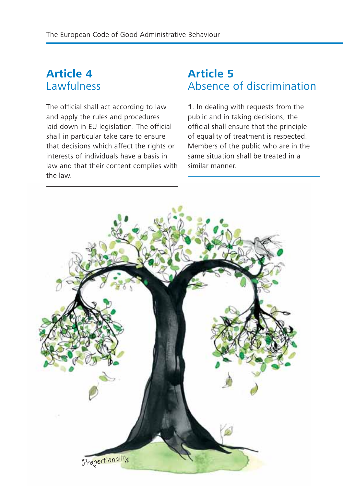### **Article 4 Lawfulness**

The official shall act according to law and apply the rules and procedures laid down in EU legislation. The official shall in particular take care to ensure that decisions which affect the rights or interests of individuals have a basis in law and that their content complies with the law.

#### **Article 5** Absence of discrimination

**1**. In dealing with requests from the public and in taking decisions, the official shall ensure that the principle of equality of treatment is respected. Members of the public who are in the same situation shall be treated in a similar manner.

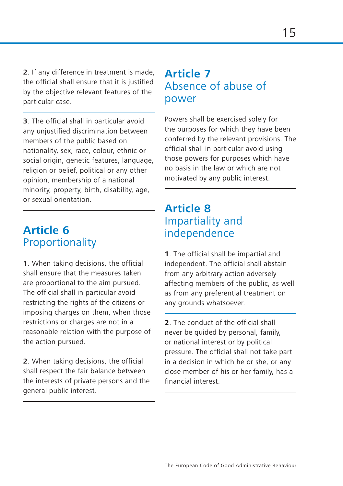**2**. If any difference in treatment is made, the official shall ensure that it is justified by the objective relevant features of the particular case.

**3**. The official shall in particular avoid any unjustified discrimination between members of the public based on nationality, sex, race, colour, ethnic or social origin, genetic features, language, religion or belief, political or any other opinion, membership of a national minority, property, birth, disability, age, or sexual orientation.

### **Article 6 Proportionality**

**1**. When taking decisions, the official shall ensure that the measures taken are proportional to the aim pursued. The official shall in particular avoid restricting the rights of the citizens or imposing charges on them, when those restrictions or charges are not in a reasonable relation with the purpose of the action pursued.

**2**. When taking decisions, the official shall respect the fair balance between the interests of private persons and the general public interest.

#### **Article 7** Absence of abuse of power

Powers shall be exercised solely for the purposes for which they have been conferred by the relevant provisions. The official shall in particular avoid using those powers for purposes which have no basis in the law or which are not motivated by any public interest.

#### **Article 8** Impartiality and independence

**1**. The official shall be impartial and independent. The official shall abstain from any arbitrary action adversely affecting members of the public, as well as from any preferential treatment on any grounds whatsoever.

**2**. The conduct of the official shall never be guided by personal, family, or national interest or by political pressure. The official shall not take part in a decision in which he or she, or any close member of his or her family, has a financial interest.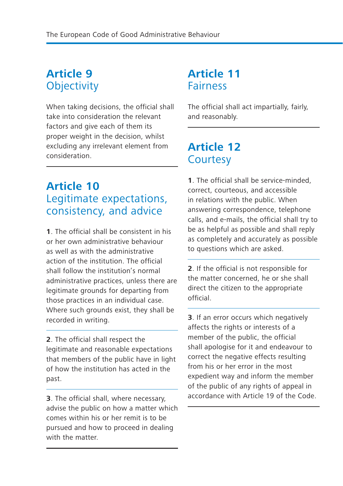# **Article 9 Objectivity**

When taking decisions, the official shall take into consideration the relevant factors and give each of them its proper weight in the decision, whilst excluding any irrelevant element from consideration.

### **Article 10** Legitimate expectations, consistency, and advice

**1**. The official shall be consistent in his or her own administrative behaviour as well as with the administrative action of the institution. The official shall follow the institution's normal administrative practices, unless there are legitimate grounds for departing from those practices in an individual case. Where such grounds exist, they shall be recorded in writing.

**2**. The official shall respect the legitimate and reasonable expectations that members of the public have in light of how the institution has acted in the past.

**3**. The official shall, where necessary, advise the public on how a matter which comes within his or her remit is to be pursued and how to proceed in dealing with the matter.

#### **Article 11** Fairness

The official shall act impartially, fairly, and reasonably.

#### **Article 12 Courtesy**

**1**. The official shall be service-minded, correct, courteous, and accessible in relations with the public. When answering correspondence, telephone calls, and e-mails, the official shall try to be as helpful as possible and shall reply as completely and accurately as possible to questions which are asked.

**2**. If the official is not responsible for the matter concerned, he or she shall direct the citizen to the appropriate official.

**3**. If an error occurs which negatively affects the rights or interests of a member of the public, the official shall apologise for it and endeavour to correct the negative effects resulting from his or her error in the most expedient way and inform the member of the public of any rights of appeal in accordance with Article 19 of the Code.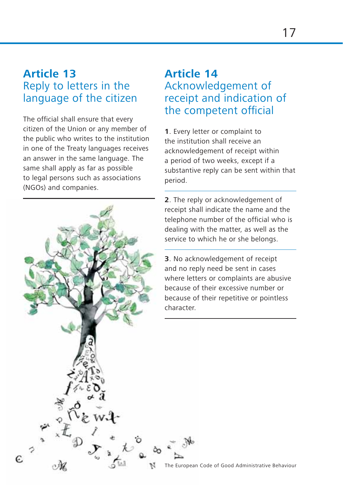#### **Article 13** Reply to letters in the language of the citizen

The official shall ensure that every citizen of the Union or any member of the public who writes to the institution in one of the Treaty languages receives an answer in the same language. The same shall apply as far as possible to legal persons such as associations (NGOs) and companies.

 $\epsilon$ 

## **Article 14** Acknowledgement of receipt and indication of the competent official

**1**. Every letter or complaint to the institution shall receive an acknowledgement of receipt within a period of two weeks, except if a substantive reply can be sent within that period.

**2**. The reply or acknowledgement of receipt shall indicate the name and the telephone number of the official who is dealing with the matter, as well as the service to which he or she belongs.

**3**. No acknowledgement of receipt and no reply need be sent in cases where letters or complaints are abusive because of their excessive number or because of their repetitive or pointless character.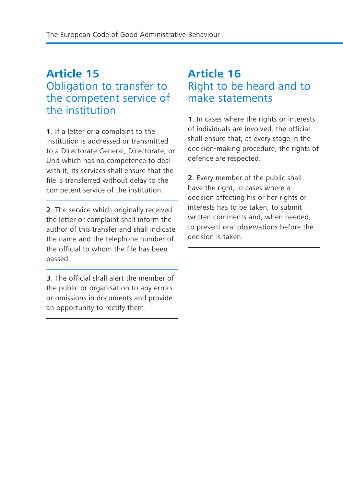### **Article 15** Obligation to transfer to the competent service of the institution

**1**. If a letter or a complaint to the institution is addressed or transmitted to a Directorate General, Directorate, or Unit which has no competence to deal with it, its services shall ensure that the file is transferred without delay to the competent service of the institution.

**2**. The service which originally received the letter or complaint shall inform the author of this transfer and shall indicate the name and the telephone number of the official to whom the file has been passed.

**3**. The official shall alert the member of the public or organisation to any errors or omissions in documents and provide an opportunity to rectify them.

### **Article 16** Right to be heard and to make statements

**1**. In cases where the rights or interests of individuals are involved, the official shall ensure that, at every stage in the decision-making procedure, the rights of defence are respected.

**2**. Every member of the public shall have the right, in cases where a decision affecting his or her rights or interests has to be taken, to submit written comments and, when needed, to present oral observations before the decision is taken.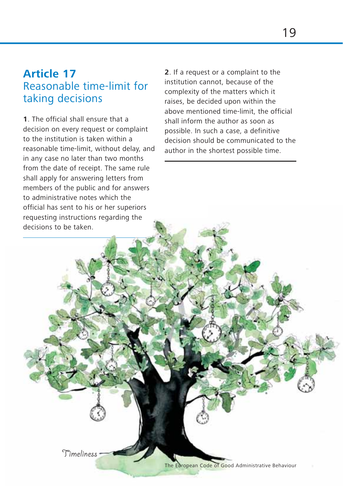#### **Article 17** Reasonable time-limit for taking decisions

**1**. The official shall ensure that a decision on every request or complaint to the institution is taken within a reasonable time-limit, without delay, and in any case no later than two months from the date of receipt. The same rule shall apply for answering letters from members of the public and for answers to administrative notes which the official has sent to his or her superiors requesting instructions regarding the decisions to be taken.

Timeliness

**2**. If a request or a complaint to the institution cannot, because of the complexity of the matters which it raises, be decided upon within the above mentioned time-limit, the official shall inform the author as soon as possible. In such a case, a definitive decision should be communicated to the author in the shortest possible time.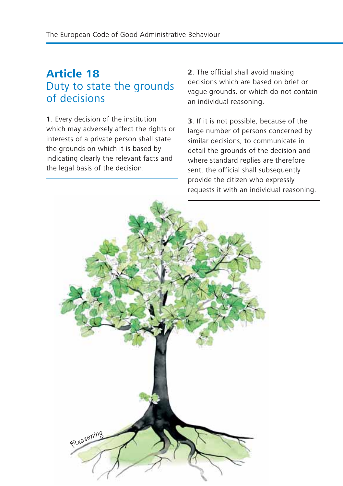### **Article 18** Duty to state the grounds of decisions

**1**. Every decision of the institution which may adversely affect the rights or interests of a private person shall state the grounds on which it is based by indicating clearly the relevant facts and the legal basis of the decision.

**2**. The official shall avoid making decisions which are based on brief or vague grounds, or which do not contain an individual reasoning.

**3**. If it is not possible, because of the large number of persons concerned by similar decisions, to communicate in detail the grounds of the decision and where standard replies are therefore sent, the official shall subsequently provide the citizen who expressly requests it with an individual reasoning.

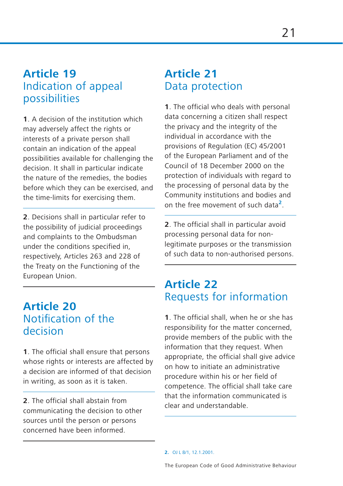#### **Article 19** Indication of appeal possibilities

**1**. A decision of the institution which may adversely affect the rights or interests of a private person shall contain an indication of the appeal possibilities available for challenging the decision. It shall in particular indicate the nature of the remedies, the bodies before which they can be exercised, and the time-limits for exercising them.

**2**. Decisions shall in particular refer to the possibility of judicial proceedings and complaints to the Ombudsman under the conditions specified in, respectively, Articles 263 and 228 of the Treaty on the Functioning of the European Union.

#### **Article 20** Notification of the decision

**1**. The official shall ensure that persons whose rights or interests are affected by a decision are informed of that decision in writing, as soon as it is taken.

**2**. The official shall abstain from communicating the decision to other sources until the person or persons concerned have been informed.

### **Article 21** Data protection

**1**. The official who deals with personal data concerning a citizen shall respect the privacy and the integrity of the individual in accordance with the provisions of Regulation (EC) 45/2001 of the European Parliament and of the Council of 18 December 2000 on the protection of individuals with regard to the processing of personal data by the Community institutions and bodies and on the free movement of such data**2**.

**2**. The official shall in particular avoid processing personal data for nonlegitimate purposes or the transmission of such data to non-authorised persons.

#### **Article 22** Requests for information

**1**. The official shall, when he or she has responsibility for the matter concerned, provide members of the public with the information that they request. When appropriate, the official shall give advice on how to initiate an administrative procedure within his or her field of competence. The official shall take care that the information communicated is clear and understandable.

**2.** OJ L 8/1, 12.1.2001.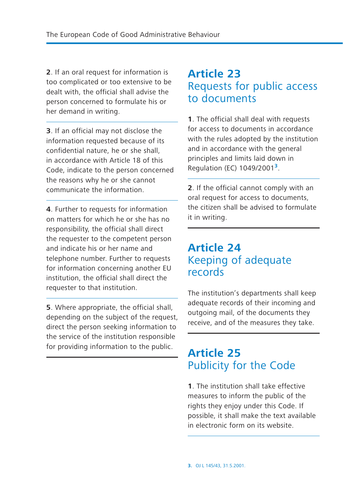**2**. If an oral request for information is too complicated or too extensive to be dealt with, the official shall advise the person concerned to formulate his or her demand in writing.

**3**. If an official may not disclose the information requested because of its confidential nature, he or she shall, in accordance with Article 18 of this Code, indicate to the person concerned the reasons why he or she cannot communicate the information.

**4**. Further to requests for information on matters for which he or she has no responsibility, the official shall direct the requester to the competent person and indicate his or her name and telephone number. Further to requests for information concerning another EU institution, the official shall direct the requester to that institution.

**5**. Where appropriate, the official shall, depending on the subject of the request, direct the person seeking information to the service of the institution responsible for providing information to the public.

### **Article 23** Requests for public access to documents

**1**. The official shall deal with requests for access to documents in accordance with the rules adopted by the institution and in accordance with the general principles and limits laid down in Regulation (EC) 1049/2001**3**.

**2**. If the official cannot comply with an oral request for access to documents, the citizen shall be advised to formulate it in writing.

#### **Article 24** Keeping of adequate records

The institution's departments shall keep adequate records of their incoming and outgoing mail, of the documents they receive, and of the measures they take.

#### **Article 25** Publicity for the Code

**1**. The institution shall take effective measures to inform the public of the rights they enjoy under this Code. If possible, it shall make the text available in electronic form on its website.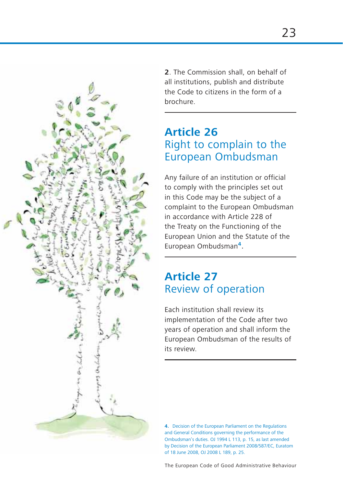

**2**. The Commission shall, on behalf of all institutions, publish and distribute the Code to citizens in the form of a brochure.

#### **Article 26** Right to complain to the European Ombudsman

Any failure of an institution or official to comply with the principles set out in this Code may be the subject of a complaint to the European Ombudsman in accordance with Article 228 of the Treaty on the Functioning of the European Union and the Statute of the European Ombudsman**<sup>4</sup>**.

# **Article 27** Review of operation

Each institution shall review its implementation of the Code after two years of operation and shall inform the European Ombudsman of the results of its review.

**4.** Decision of the European Parliament on the Regulations and General Conditions governing the performance of the Ombudsman's duties. OJ 1994 L 113, p. 15, as last amended by Decision of the European Parliament 2008/587/EC, Euratom of 18 June 2008, OJ 2008 L 189, p. 25.

The European Code of Good Administrative Behaviour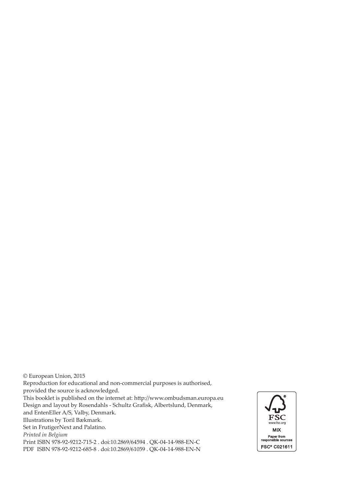© European Union, 2015 Reproduction for educational and non-commercial purposes is authorised, provided the source is acknowledged. This booklet is published on the internet at: http:/[/www.ombudsman.europa.eu](http://www.ombudsman.europa.eu) Design and layout by Rosendahls - Schultz Grafisk, Albertslund, Denmark, and EntenEller A/S, Valby, Denmark. Illustrations by Toril Bækmark. Set in FrutigerNext and Palatino. *Printed in Belgium* Print ISBN 978-92-9212-715-2 . doi:10.2869/64594 . QK-04-14-988-EN-C

PDF ISBN 978-92-9212-685-8 . doi:10.2869/61059 . QK-04-14-988-EN-N